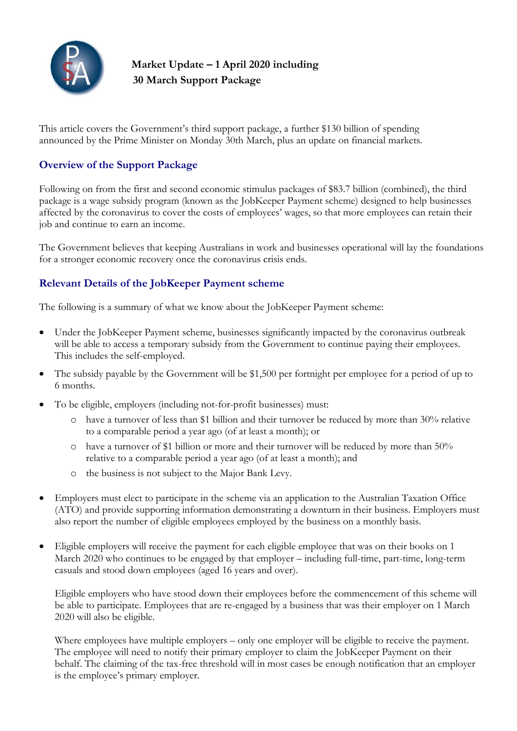

# **Market Update – 1 April 2020 including 30 March Support Package**

This article covers the Government's third support package, a further \$130 billion of spending announced by the Prime Minister on Monday 30th March, plus an update on financial markets.

## **Overview of the Support Package**

Following on from the first and second economic stimulus packages of \$83.7 billion (combined), the third package is a wage subsidy program (known as the JobKeeper Payment scheme) designed to help businesses affected by the coronavirus to cover the costs of employees' wages, so that more employees can retain their job and continue to earn an income.

The Government believes that keeping Australians in work and businesses operational will lay the foundations for a stronger economic recovery once the coronavirus crisis ends.

# **Relevant Details of the JobKeeper Payment scheme**

The following is a summary of what we know about the JobKeeper Payment scheme:

- Under the JobKeeper Payment scheme, businesses significantly impacted by the coronavirus outbreak will be able to access a temporary subsidy from the Government to continue paying their employees. This includes the self-employed.
- The subsidy payable by the Government will be \$1,500 per fortnight per employee for a period of up to 6 months.
- To be eligible, employers (including not-for-profit businesses) must:
	- o have a turnover of less than \$1 billion and their turnover be reduced by more than 30% relative to a comparable period a year ago (of at least a month); or
	- o have a turnover of \$1 billion or more and their turnover will be reduced by more than 50% relative to a comparable period a year ago (of at least a month); and
	- o the business is not subject to the Major Bank Levy.
- Employers must elect to participate in the scheme via an application to the Australian Taxation Office (ATO) and provide supporting information demonstrating a downturn in their business. Employers must also report the number of eligible employees employed by the business on a monthly basis.
- Eligible employers will receive the payment for each eligible employee that was on their books on 1 March 2020 who continues to be engaged by that employer – including full-time, part-time, long-term casuals and stood down employees (aged 16 years and over).

Eligible employers who have stood down their employees before the commencement of this scheme will be able to participate. Employees that are re-engaged by a business that was their employer on 1 March 2020 will also be eligible.

Where employees have multiple employers – only one employer will be eligible to receive the payment. The employee will need to notify their primary employer to claim the JobKeeper Payment on their behalf. The claiming of the tax-free threshold will in most cases be enough notification that an employer is the employee's primary employer.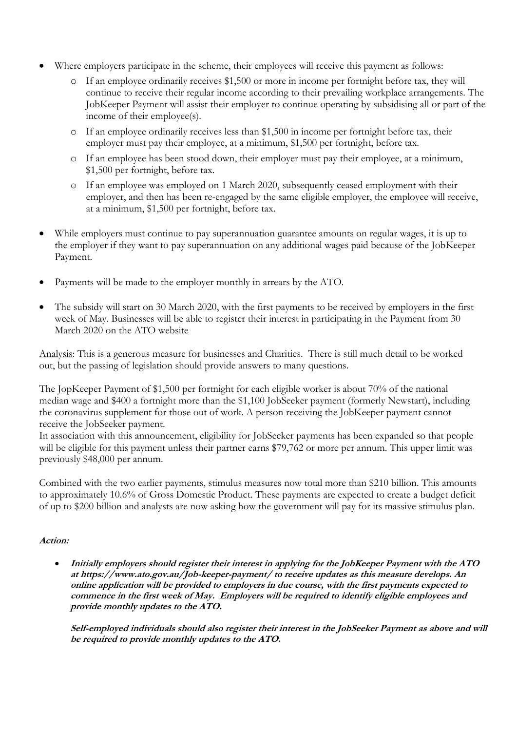- Where employers participate in the scheme, their employees will receive this payment as follows:
	- o If an employee ordinarily receives \$1,500 or more in income per fortnight before tax, they will continue to receive their regular income according to their prevailing workplace arrangements. The JobKeeper Payment will assist their employer to continue operating by subsidising all or part of the income of their employee(s).
	- o If an employee ordinarily receives less than \$1,500 in income per fortnight before tax, their employer must pay their employee, at a minimum, \$1,500 per fortnight, before tax.
	- o If an employee has been stood down, their employer must pay their employee, at a minimum, \$1,500 per fortnight, before tax.
	- o If an employee was employed on 1 March 2020, subsequently ceased employment with their employer, and then has been re-engaged by the same eligible employer, the employee will receive, at a minimum, \$1,500 per fortnight, before tax.
- While employers must continue to pay superannuation guarantee amounts on regular wages, it is up to the employer if they want to pay superannuation on any additional wages paid because of the JobKeeper Payment.
- Payments will be made to the employer monthly in arrears by the ATO.
- The subsidy will start on 30 March 2020, with the first payments to be received by employers in the first week of May. Businesses will be able to register their interest in participating in the Payment from 30 March 2020 on the ATO website

Analysis: This is a generous measure for businesses and Charities. There is still much detail to be worked out, but the passing of legislation should provide answers to many questions.

The JopKeeper Payment of \$1,500 per fortnight for each eligible worker is about 70% of the national median wage and \$400 a fortnight more than the \$1,100 JobSeeker payment (formerly Newstart), including the coronavirus supplement for those out of work. A person receiving the JobKeeper payment cannot receive the JobSeeker payment.

In association with this announcement, eligibility for JobSeeker payments has been expanded so that people will be eligible for this payment unless their partner earns \$79,762 or more per annum. This upper limit was previously \$48,000 per annum.

Combined with the two earlier payments, stimulus measures now total more than \$210 billion. This amounts to approximately 10.6% of Gross Domestic Product. These payments are expected to create a budget deficit of up to \$200 billion and analysts are now asking how the government will pay for its massive stimulus plan.

#### **Action:**

 **Initially employers should register their interest in applying for the JobKeeper Payment with the ATO at https://www.ato.gov.au/Job-keeper-payment/ to receive updates as this measure develops. An online application will be provided to employers in due course, with the first payments expected to commence in the first week of May. Employers will be required to identify eligible employees and provide monthly updates to the ATO.** 

**Self-employed individuals should also register their interest in the JobSeeker Payment as above and will be required to provide monthly updates to the ATO.**